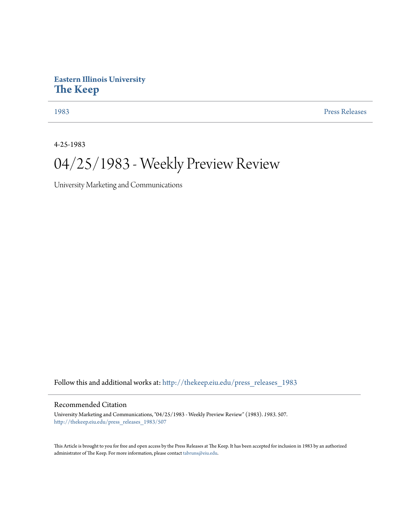### **Eastern Illinois University [The Keep](http://thekeep.eiu.edu?utm_source=thekeep.eiu.edu%2Fpress_releases_1983%2F507&utm_medium=PDF&utm_campaign=PDFCoverPages)**

[1983](http://thekeep.eiu.edu/press_releases_1983?utm_source=thekeep.eiu.edu%2Fpress_releases_1983%2F507&utm_medium=PDF&utm_campaign=PDFCoverPages) [Press Releases](http://thekeep.eiu.edu/press_releases_collection?utm_source=thekeep.eiu.edu%2Fpress_releases_1983%2F507&utm_medium=PDF&utm_campaign=PDFCoverPages)

4-25-1983

## 04/25/1983 - Weekly Preview Review

University Marketing and Communications

Follow this and additional works at: [http://thekeep.eiu.edu/press\\_releases\\_1983](http://thekeep.eiu.edu/press_releases_1983?utm_source=thekeep.eiu.edu%2Fpress_releases_1983%2F507&utm_medium=PDF&utm_campaign=PDFCoverPages)

### Recommended Citation

University Marketing and Communications, "04/25/1983 - Weekly Preview Review" (1983). *1983*. 507. [http://thekeep.eiu.edu/press\\_releases\\_1983/507](http://thekeep.eiu.edu/press_releases_1983/507?utm_source=thekeep.eiu.edu%2Fpress_releases_1983%2F507&utm_medium=PDF&utm_campaign=PDFCoverPages)

This Article is brought to you for free and open access by the Press Releases at The Keep. It has been accepted for inclusion in 1983 by an authorized administrator of The Keep. For more information, please contact [tabruns@eiu.edu.](mailto:tabruns@eiu.edu)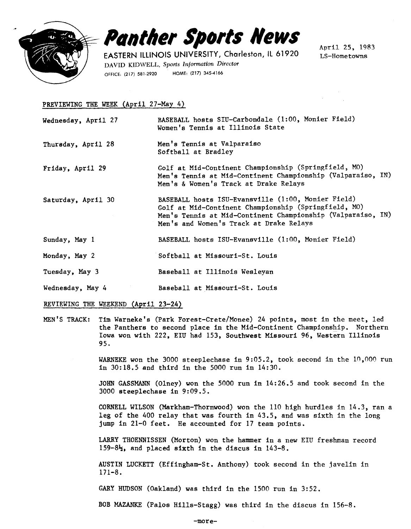

# **Panther Sports News**

EASTERN ILLINOIS UNIVERSITY, Charleston, ll 61920 DAVID KIDWELL, Sports Information Director OFFICE: (217) 581-2920 HOME: (217) 345-4166

April 25, 1983 LS-Hometowns

### PREVIEWING THE WEEK (April 27-May 4)

- Wednesday, April 27 BASEBALL hosts STU-Carbondale (1:00, Monier Field) Women's Tennis at Illinois State
- Thursday, April 28 Men's Tennis at Valparaiso Softball at Bradley
- Friday, April 29 Golf at Mid-Continent Championship (Springfield, MO) Men's Tennis at Mid-Continent Championship (Valparaiso, IN) Men's & Women's Track at Drake Relays
- Saturday, April 30 BASEBALL hosts ISU-Evansville (1:00, Monier Field) Golf at Mid-Continent Championship (Springfield, MO) Men's Tennis at Mid-continent Championship (Valparaiso, IN) Men's and Women's Track at Drake Relays
- Sunday, May 1 BASEBALL hosts ISU-Evansville (1:00, Monier Field)
- Monday, May 2 Softball at Missouri-St. Louis
- Tuesday, May 3 Baseball at Illinois Wesleyan
- Wednesday, May 4 Baseball at Missouri-St. Louis

#### REVIEWING THE WEEKEND (April 23-24)

MEN'S TRACK: Tim Warneke's (Park Forest-Crete/Monee) 24 points, most in the meet, led the Panthers to second place in the Mid-Continent Championship. Northern Iowa won with 222, EIU had 153, Southwest Missouri 96, Western Illinois 95.

> WARNEKE won the 3000 steeplechase in 9:05.2, took second in the  $10,000$  run in 30:18.5 and third in the 5000 run in 14:30.

JOHN GASSMANN (Olney) won the 5000 run in 14:26.5 and took second in the 3000 steeplechase in 9:09.5.

CORNELL WILSON (Markham-Thornwood) won the 110 high hurdles in 14.3, ran a leg of the 400 relay that was fourth in 43.5, and was sixth in the long jump in 21-0 feet. He accounted for 17 team points.

LARRY THOENNISSEN (Morton) won the hammer in a new EIU freshman record 159-8 $\frac{1}{2}$ , and placed sixth in the discus in 143-8.

AUSTIN LUCKETT (Effingham-St. Anthony) took second in the javelin in 171-8.

GARY HUDSON (Oakland) was third in the 1500 run in 3:52.

BOB MAZANKE (Palos Hilla-Stagg) was third in the discus in 156-8.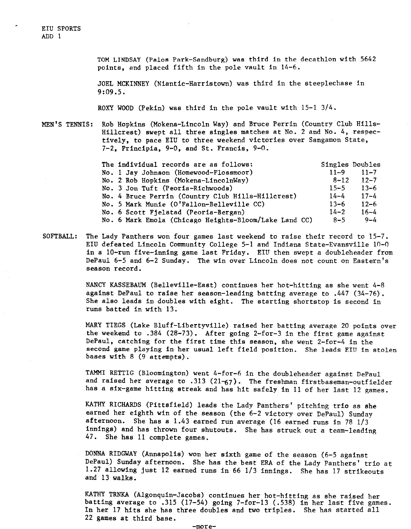EIU SPORTS ADD 1

> TOM LINDSAY (Palos Park-Sandburg) was third in the decathlon with 5642 points, and placed fifth in the pole vault in 14-6.

JOEL MCKINNEY (Niantic-Harristown) was third in the steeplechase in 9:09.5.

ROXY WOOD (Pekin) was third in the pole vault with  $15-1$   $3/4$ .

MEN'S TENNIS: Rob Hopkins (Mokena-Lincoln Way) and Bruce Perrin (Country Club Hills-Hillcrest) swept all three singles matches at No. 2 and No. 4, respectively, to pace EIU to three weekend victories over Sangamon State, 7-2, Principia, 9-0, and St. Francis, 9-0.

| The individual records are as follows:                |          | Singles Doubles |
|-------------------------------------------------------|----------|-----------------|
| No. 1 Jay Johnson (Homewood-Flossmoor)                | $11 - 9$ | $11 - 7$        |
| No. 2 Rob Hopkins (Mokena-LincolnWay)                 | $8 - 12$ | $12 - 7$        |
| No. 3 Jon Tuft (Peoria-Richwoods)                     | $15 - 5$ | $13 - 6$        |
| No. 4 Bruce Perrin (Country Club Hills-Hillcrest)     | $14 - 4$ | $17 - 4$        |
| No. 5 Mark Munie (O'Fallon-Belleville CC)             | $13 - 6$ | $12 - 6$        |
| No. 6 Scott Fjelstad (Peoria-Bergan)                  | $14 - 2$ | $16 - 4$        |
| No. 6 Mark Emola (Chicago Heights-Bloom/Lake Land CC) | $8 - 5$  | $9 - 4$         |

SOFTBALL: The Lady Panthers won four games last weekend to raise their record to 15-7. EIU defeated Lincoln Community College 5-1 and Indiana State-Evansville 10-0 in a 10-run five-inning game last Friday. EIU then swept a doubleheader from DePaul 6-5 and 6-2 Sunday. The win over Lincoln does not count on Eastern's season record.

> NANCY KASSEBAUM (Belleville-East) continues her hot-hitting as she went 4-8 against DePaul to raise her season-leading batting average to .447 (34-76). She also leads in doubles with eight. The starting shortstop is second in runs batted in with 13.

MARY TIEGS (Lake Bluff-Libertyville) raised her batting average 20 points over the weekend to .384 (28-73). After going 2-for-3 in the first game against DePaul, catching for the first time this season, she went 2-for-4 in the second game playing in her usual left field position. She leads EIU in stolen bases with 8 (9 attempts).

TAMMI RETTIG (Bloomington) went 4-for-6 in the doubleheader against DePaul and raised her average to .313 (21- $67$ ). The freshman firstbaseman-outfielder has a six-game hitting streak and has hit safely in 11 of her last 12 games.

KATHY RICHARDS (Pittsfield) leads the Lady Panthers' pitching trio as she earned her eighth win of the season (the 6-2 victory over DePaul) Sunday afternoon. She has a 1.43 earned run average (16 earned runs in 78 1/3 innings) and has thrown four shutouts. She has struck out a team-leading 47. She has 11 complete games.

DONNA RIDGWAY (Annapolis) won her sixth game of the season (6-5 against DePaul) Sunday afternoon. She has the best ERA of the Lady Panthers' trio at 1.27 allowing just 12 earned runs in 66 1/3 innings. She has 17 strikeouts and 13 walks.

KATHY TRNKA (Algonquin-Jacobs) continues her hot-hitting as she raised her batting average to .315 (17-54) going 7-for-13 (.538) in her last five games. In her 17 hits she has three doubles and two triples. She has started all 22 games at third base.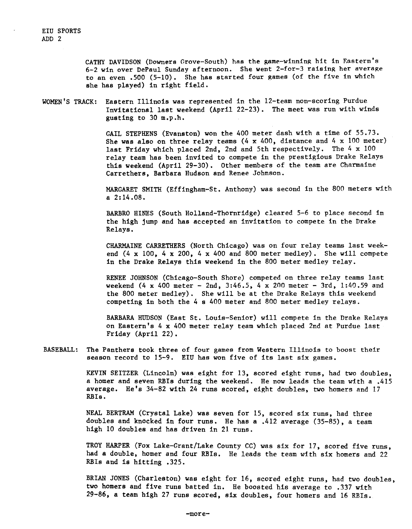CATHY DAVIDSON (Downers Grove-South) has the game-winning hit in Eastern's 6-2 win over DePaul Sunday afternoon. She went 2-for-3 raising her average to an even .500 (5-10). She has started four games (of the five in which she has played) in right field.

WOMEN'S TRACK: Eastern Illinois was represented in the 12-team non-scoring Purdue Invitational last weekend (April 22-23). The meet was run with winds gusting to 30 m.p.h.

> GAIL STEPHENS (Evanston) won the 400 meter dash with a time of 55.73. She was also on three relay teams  $(4 \times 400)$ , distance and  $4 \times 100$  meter) last Friday which placed 2nd, 2nd and 5th respectively. The 4 x 100 relay team has been invited to compete in the prestigious Drake Relays this weekend (April 29-30). Other members of the team are Charmaine Carrethers, Barbara Hudson and Renee Johnson.

MARGARET SMITH (Effingham-St. Anthony) was second in the 800 meters with a 2:14.08.

BARBRO HINES (South Holland-Thornridge) cleared 5-6 to place second in the high jump and has accepted an invitation to compete in the Drake Relays.

CHARMAINE CARRETHERS (North Chicago) was on four relay teams last weekend  $(4 \times 100, 4 \times 200, 4 \times 400$  and 800 meter medley). She will compete in the Drake Relays this weekend in the 800 meter medley relay.

RENEE JOHNSON (Chicago-South Shore) competed on three relay teams last weekend (4 x 400 meter - 2nd, 3:46.5, 4 x 200 meter - 3rd, 1:40.59 and the 800 meter medley). She will be at the Drake Relays this weekend competing in both the 4 s 400 meter and 800 meter medley relays.

BARBARA HUDSON (East St. Louis-Senior) will compete in the Drake Relays on Eastern's 4 x 400 meter relay team which placed 2nd at Purdue last Friday (April 22).

BASEBALL: The Panthers took three of four games from Western Illinois to boost their season record to 15-9. EIU has won five of its last six games.

> KEVIN SElTZER (Lincoln) was eight for 13, scored eight runs, had two doubles, a homer and seven RBis during the weekend. He now leads the team with a .415 average. He's 34-82 with 24 runs scored, eight doubles, two homers and 17 RBis.

NEAL BERTRAM (Crystal Lake) was seven for 15, scored six runs, had three doubles and knocked in four runs. He has a .412 average (35-85), a team high 10 doubles and has driven in 21 runs.

TROY HARPER (Fox Lake-Grant/Lake County CC) was six for 17, scored five runs, had a double, homer and four RBis. He leads the team with six homers and 22 RBis and is hitting .325.

BRIAN JONES (Charleston) was eight for 16, scored eight runs, had two doubles, two homers and five runs batted in. He boosted his average to .337 with 29-86, a team high 27 runs scored, six doubles, four homers and 16 RBis.